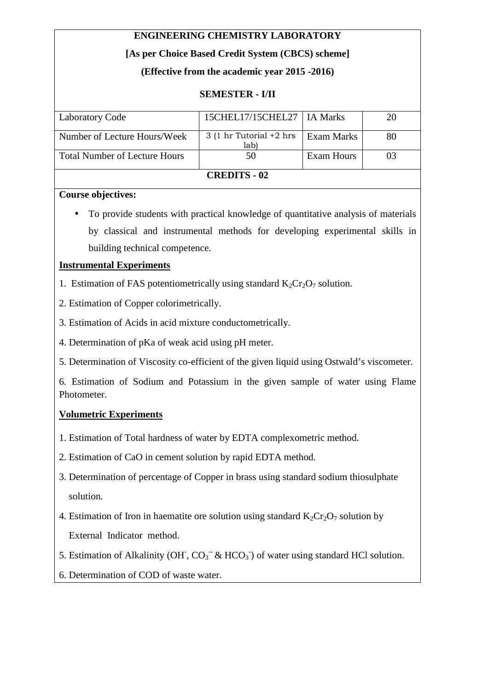# **ENGINEERING CHEMISTRY LABORATORY**

# **[As per Choice Based Credit System (CBCS) scheme]**

# **(Effective from the academic year 2015 -2016)**

## **SEMESTER - I/II**

|                                            |            | 20                           |
|--------------------------------------------|------------|------------------------------|
|                                            |            |                              |
| $3(1 \text{ hr}$ Tutorial $+2 \text{ hrs}$ | Exam Marks | 80                           |
| lab)                                       |            |                              |
| 50                                         | Exam Hours |                              |
|                                            |            |                              |
| <b>CREDITS - 02</b>                        |            |                              |
|                                            |            | 15CHEL17/15CHEL27   IA Marks |

#### **Course objectives:**

• To provide students with practical knowledge of quantitative analysis of materials by classical and instrumental methods for developing experimental skills in building technical competence.

## **Instrumental Experiments**

- 1. Estimation of FAS potentiometrically using standard  $K_2Cr_2O_7$  solution.
- 2. Estimation of Copper colorimetrically.
- 3. Estimation of Acids in acid mixture conductometrically.
- 4. Determination of pKa of weak acid using pH meter.
- 5. Determination of Viscosity co-efficient of the given liquid using Ostwald's viscometer.

6. Estimation of Sodium and Potassium in the given sample of water using Flame Photometer.

## **Volumetric Experiments**

- 1. Estimation of Total hardness of water by EDTA complexometric method.
- 2. Estimation of CaO in cement solution by rapid EDTA method.
- 3. Determination of percentage of Copper in brass using standard sodium thiosulphate solution.
- 4. Estimation of Iron in haematite ore solution using standard  $K_2Cr_2O_7$  solution by External Indicator method.
- 5. Estimation of Alkalinity (OH,  $CO_3^-$  & HCO<sub>3</sub><sup>-</sup>) of water using standard HCl solution.
- 6. Determination of COD of waste water.